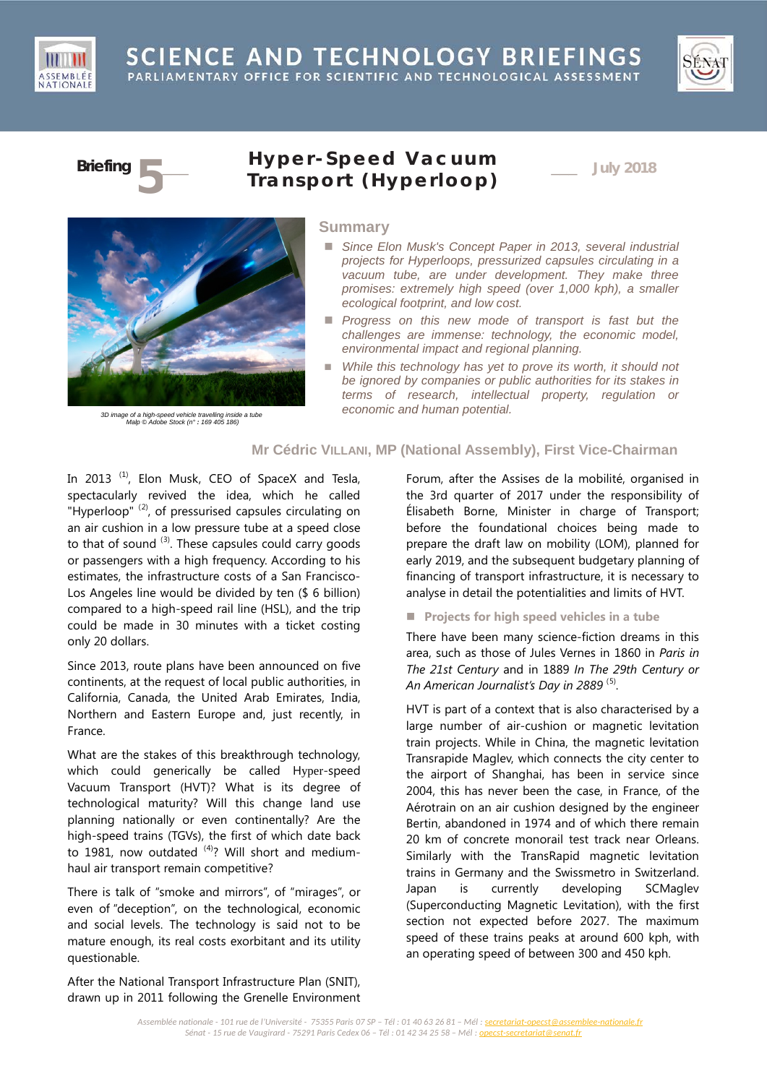





# **Briefing 5**\_\_\_ **Hyper - Speed Vac <sup>u</sup> um Transport (***Hyperloop***)** \_\_\_ **July <sup>2018</sup>**



*3D image of a high-speed vehicle travelling inside a tube Malp © Adobe Stock (n° : 169 405 186)*

#### **Summary**

- Since Elon Musk's Concept Paper in 2013, several industrial *projects for Hyperloops, pressurized capsules circulating in a vacuum tube, are under development. They make three promises: extremely high speed (over 1,000 kph), a smaller ecological footprint, and low cost.*
- **Progress on this new mode of transport is fast but the** *challenges are immense: technology, the economic model, environmental impact and regional planning.*
- While this technology has yet to prove its worth, it should not *be ignored by companies or public authorities for its stakes in terms of research, intellectual property, regulation or economic and human potential.*

# **Mr Cédric VILLANI, MP (National Assembly), First Vice-Chairman**

In 2013  $<sup>(1)</sup>$  $<sup>(1)</sup>$  $<sup>(1)</sup>$ , Elon Musk, CEO of SpaceX and Tesla,</sup> spectacularly revived the idea, which he called "Hyperloop"  $(2)$  $(2)$  $(2)$ , of pressurised capsules circulating on an air cushion in a low pressure tube at a speed close to that of sound  $(3)$  $(3)$  $(3)$ . These capsules could carry goods or passengers with a high frequency. According to his estimates, the infrastructure costs of a San Francisco-Los Angeles line would be divided by ten (\$ 6 billion) compared to a high-speed rail line (HSL), and the trip could be made in 30 minutes with a ticket costing only 20 dollars.

Since 2013, route plans have been announced on five continents, at the request of local public authorities, in California, Canada, the United Arab Emirates, India, Northern and Eastern Europe and, just recently, in France.

What are the stakes of this breakthrough technology, which could generically be called Hyper-speed Vacuum Transport (HVT)? What is its degree of technological maturity? Will this change land use planning nationally or even continentally? Are the high-speed trains (TGVs), the first of which date back to 1981, now outdated <sup>[\(4\)](#page-4-3)</sup>? Will short and mediumhaul air transport remain competitive?

There is talk of "smoke and mirrors", of "mirages", or even of "deception", on the technological, economic and social levels. The technology is said not to be mature enough, its real costs exorbitant and its utility questionable.

After the National Transport Infrastructure Plan (SNIT), drawn up in 2011 following the Grenelle Environment Forum, after the Assises de la mobilité, organised in the 3rd quarter of 2017 under the responsibility of Élisabeth Borne, Minister in charge of Transport; before the foundational choices being made to prepare the draft law on mobility (LOM), planned for early 2019, and the subsequent budgetary planning of financing of transport infrastructure, it is necessary to analyse in detail the potentialities and limits of HVT.

**Projects for high speed vehicles in a tube**

There have been many science-fiction dreams in this area, such as those of Jules Vernes in 1860 in *Paris in The 21st Century* and in 1889 *In The 29th Century or An American Journalist's Day in 2889* ([5](#page-5-0)) .

HVT is part of a context that is also characterised by a large number of air-cushion or magnetic levitation train projects. While in China, the magnetic levitation Transrapide Maglev, which connects the city center to the airport of Shanghai, has been in service since 2004, this has never been the case, in France, of the Aérotrain on an air cushion designed by the engineer Bertin, abandoned in 1974 and of which there remain 20 km of concrete monorail test track near Orleans. Similarly with the TransRapid magnetic levitation trains in Germany and the Swissmetro in Switzerland. Japan is currently developing SCMaglev (Superconducting Magnetic Levitation), with the first section not expected before 2027. The maximum speed of these trains peaks at around 600 kph, with an operating speed of between 300 and 450 kph.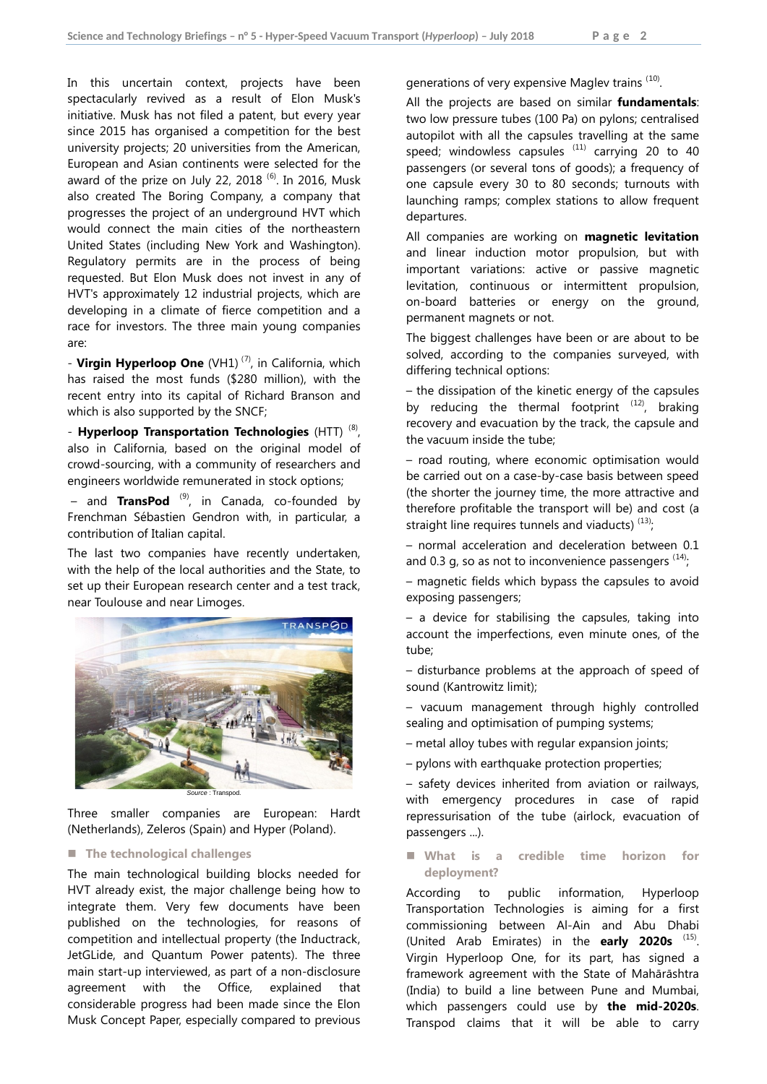In this uncertain context, projects have been spectacularly revived as a result of Elon Musk's initiative. Musk has not filed a patent, but every year since 2015 has organised a competition for the best university projects; 20 universities from the American, European and Asian continents were selected for the award of the prize on July 22, 2018  $^{(6)}$  $^{(6)}$  $^{(6)}$ . In 2016, Musk also created The Boring Company, a company that progresses the project of an underground HVT which would connect the main cities of the northeastern United States (including New York and Washington). Regulatory permits are in the process of being requested. But Elon Musk does not invest in any of HVT's approximately 12 industrial projects, which are developing in a climate of fierce competition and a race for investors. The three main young companies are:

- Virgin Hyperloop One (VH1)<sup>([7\)](#page-5-2)</sup>, in California, which has raised the most funds (\$280 million), with the recent entry into its capital of Richard Branson and which is also supported by the SNCF;

- **Hyperloop Transportation Technologies** (HTT)<sup>([8](#page-5-3))</sup>, also in California, based on the original model of crowd-sourcing, with a community of researchers and engineers worldwide remunerated in stock options;

– and **TransPod** ([9\)](#page-5-4) , in Canada, co-founded by Frenchman Sébastien Gendron with, in particular, a contribution of Italian capital.

The last two companies have recently undertaken, with the help of the local authorities and the State, to set up their European research center and a test track, near Toulouse and near Limoges.



Three smaller companies are European: Hardt (Netherlands), Zeleros (Spain) and Hyper (Poland).

#### **The technological challenges**

The main technological building blocks needed for HVT already exist, the major challenge being how to integrate them. Very few documents have been published on the technologies, for reasons of competition and intellectual property (the Inductrack, JetGLide, and Quantum Power patents). The three main start-up interviewed, as part of a non-disclosure agreement with the Office, explained that considerable progress had been made since the Elon Musk Concept Paper, especially compared to previous generations of very expensive Maglev trains <sup>([10](#page-5-5))</sup>.

All the projects are based on similar **fundamentals**: two low pressure tubes (100 Pa) on pylons; centralised autopilot with all the capsules travelling at the same speed; windowless capsules  $^{(11)}$  $^{(11)}$  $^{(11)}$  carrying 20 to 40 passengers (or several tons of goods); a frequency of one capsule every 30 to 80 seconds; turnouts with launching ramps; complex stations to allow frequent departures.

All companies are working on **magnetic levitation** and linear induction motor propulsion, but with important variations: active or passive magnetic levitation, continuous or intermittent propulsion, on-board batteries or energy on the ground, permanent magnets or not.

The biggest challenges have been or are about to be solved, according to the companies surveyed, with differing technical options:

– the dissipation of the kinetic energy of the capsules by reducing the thermal footprint  $(12)$  $(12)$  $(12)$ , braking recovery and evacuation by the track, the capsule and the vacuum inside the tube;

– road routing, where economic optimisation would be carried out on a case-by-case basis between speed (the shorter the journey time, the more attractive and therefore profitable the transport will be) and cost (a straight line requires tunnels and viaducts)  $(13)$  $(13)$ ,

– normal acceleration and deceleration between 0.1 and 0.3 g, so as not to inconvenience passengers  $(14)$  $(14)$  $(14)$ 

– magnetic fields which bypass the capsules to avoid exposing passengers;

– a device for stabilising the capsules, taking into account the imperfections, even minute ones, of the tube;

– disturbance problems at the approach of speed of sound (Kantrowitz limit);

– vacuum management through highly controlled sealing and optimisation of pumping systems;

- metal alloy tubes with regular expansion joints;
- pylons with earthquake protection properties;

– safety devices inherited from aviation or railways, with emergency procedures in case of rapid repressurisation of the tube (airlock, evacuation of passengers ...).

 **What is a credible time horizon for deployment?**

According to public information, Hyperloop Transportation Technologies is aiming for a first commissioning between Al-Ain and Abu Dhabi (United Arab Emirates) in the **early 2020s** ([15](#page-5-10)). Virgin Hyperloop One, for its part, has signed a framework agreement with the State of Mahārāshtra (India) to build a line between Pune and Mumbai, which passengers could use by **the mid-2020s**. Transpod claims that it will be able to carry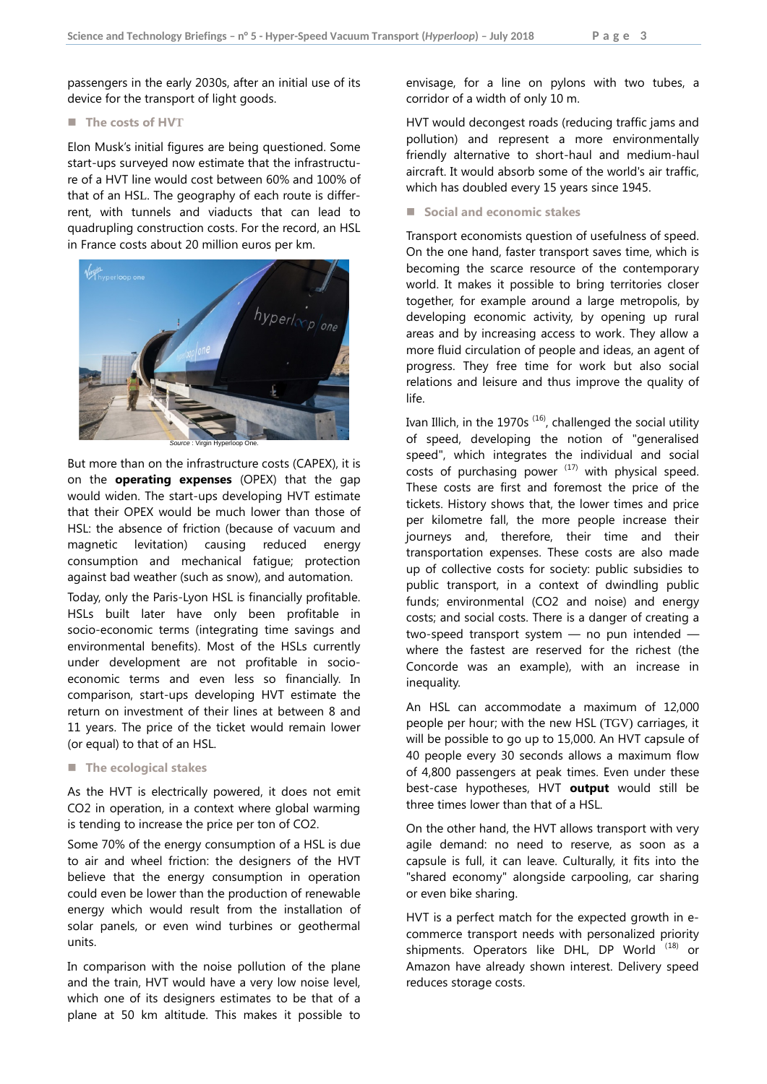passengers in the early 2030s, after an initial use of its device for the transport of light goods.

#### ■ The costs of HVT

Elon Musk's initial figures are being questioned. Some start-ups surveyed now estimate that the infrastructure of a HVT line would cost between 60% and 100% of that of an HSL. The geography of each route is differrent, with tunnels and viaducts that can lead to quadrupling construction costs. For the record, an HSL in France costs about 20 million euros per km.



But more than on the infrastructure costs (CAPEX), it is on the **operating expenses** (OPEX) that the gap would widen. The start-ups developing HVT estimate that their OPEX would be much lower than those of HSL: the absence of friction (because of vacuum and magnetic levitation) causing reduced energy consumption and mechanical fatigue; protection against bad weather (such as snow), and automation.

Today, only the Paris-Lyon HSL is financially profitable. HSLs built later have only been profitable in socio-economic terms (integrating time savings and environmental benefits). Most of the HSLs currently under development are not profitable in socioeconomic terms and even less so financially. In comparison, start-ups developing HVT estimate the return on investment of their lines at between 8 and 11 years. The price of the ticket would remain lower (or equal) to that of an HSL.

#### **The ecological stakes**

As the HVT is electrically powered, it does not emit CO2 in operation, in a context where global warming is tending to increase the price per ton of CO2.

Some 70% of the energy consumption of a HSL is due to air and wheel friction: the designers of the HVT believe that the energy consumption in operation could even be lower than the production of renewable energy which would result from the installation of solar panels, or even wind turbines or geothermal units.

In comparison with the noise pollution of the plane and the train, HVT would have a very low noise level, which one of its designers estimates to be that of a plane at 50 km altitude. This makes it possible to

envisage, for a line on pylons with two tubes, a corridor of a width of only 10 m.

HVT would decongest roads (reducing traffic jams and pollution) and represent a more environmentally friendly alternative to short-haul and medium-haul aircraft. It would absorb some of the world's air traffic, which has doubled every 15 years since 1945.

■ Social and economic stakes

Transport economists question of usefulness of speed. On the one hand, faster transport saves time, which is becoming the scarce resource of the contemporary world. It makes it possible to bring territories closer together, for example around a large metropolis, by developing economic activity, by opening up rural areas and by increasing access to work. They allow a more fluid circulation of people and ideas, an agent of progress. They free time for work but also social relations and leisure and thus improve the quality of life.

Ivan Illich, in the 1970s  $^{(16)}$  $^{(16)}$  $^{(16)}$ , challenged the social utility of speed, developing the notion of "generalised speed", which integrates the individual and social costs of purchasing power  $(17)$  $(17)$  $(17)$  with physical speed. These costs are first and foremost the price of the tickets. History shows that, the lower times and price per kilometre fall, the more people increase their journeys and, therefore, their time and their transportation expenses. These costs are also made up of collective costs for society: public subsidies to public transport, in a context of dwindling public funds; environmental (CO2 and noise) and energy costs; and social costs. There is a danger of creating a two-speed transport system - no pun intended where the fastest are reserved for the richest (the Concorde was an example), with an increase in inequality.

An HSL can accommodate a maximum of 12,000 people per hour; with the new HSL (TGV) carriages, it will be possible to go up to 15,000. An HVT capsule of 40 people every 30 seconds allows a maximum flow of 4,800 passengers at peak times. Even under these best-case hypotheses, HVT **output** would still be three times lower than that of a HSL.

On the other hand, the HVT allows transport with very agile demand: no need to reserve, as soon as a capsule is full, it can leave. Culturally, it fits into the "shared economy" alongside carpooling, car sharing or even bike sharing.

HVT is a perfect match for the expected growth in ecommerce transport needs with personalized priority shipments. Operators like DHL, DP World  $(18)$  $(18)$  $(18)$  or Amazon have already shown interest. Delivery speed reduces storage costs.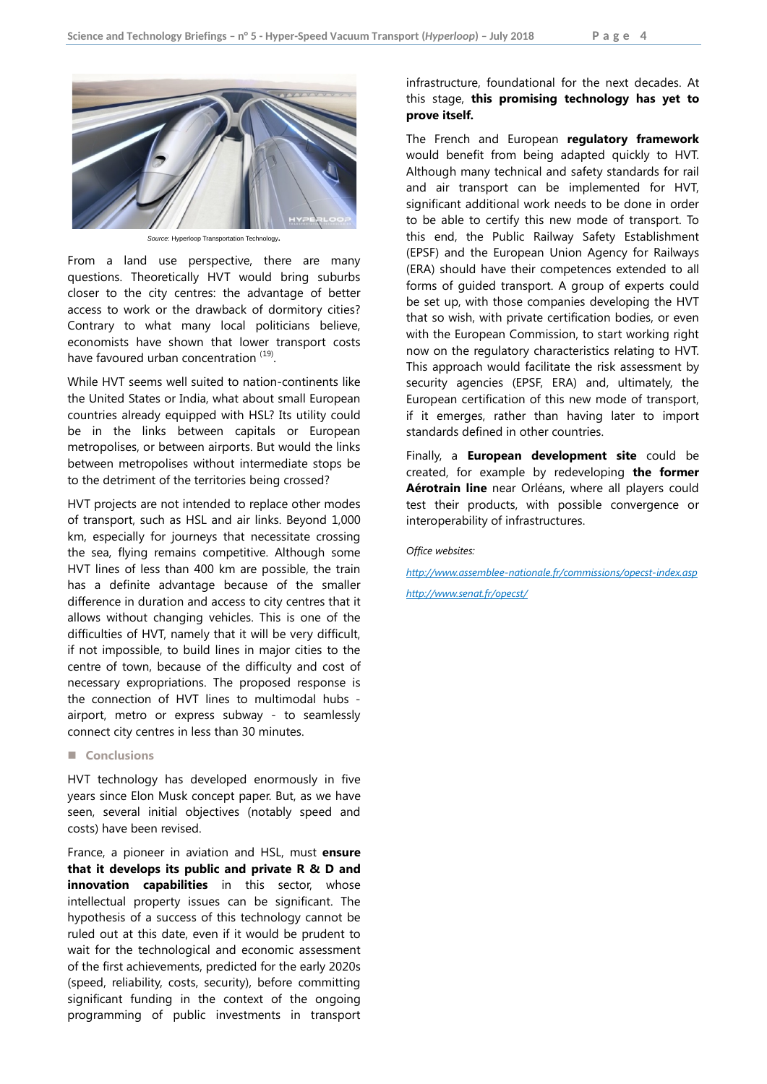

*Source*: Hyperloop Transportation Technology.

From a land use perspective, there are many questions. Theoretically HVT would bring suburbs closer to the city centres: the advantage of better access to work or the drawback of dormitory cities? Contrary to what many local politicians believe, economists have shown that lower transport costs have favoured urban concentration ([19\)](#page-5-14).

While HVT seems well suited to nation-continents like the United States or India, what about small European countries already equipped with HSL? Its utility could be in the links between capitals or European metropolises, or between airports. But would the links between metropolises without intermediate stops be to the detriment of the territories being crossed?

HVT projects are not intended to replace other modes of transport, such as HSL and air links. Beyond 1,000 km, especially for journeys that necessitate crossing the sea, flying remains competitive. Although some HVT lines of less than 400 km are possible, the train has a definite advantage because of the smaller difference in duration and access to city centres that it allows without changing vehicles. This is one of the difficulties of HVT, namely that it will be very difficult, if not impossible, to build lines in major cities to the centre of town, because of the difficulty and cost of necessary expropriations. The proposed response is the connection of HVT lines to multimodal hubs airport, metro or express subway - to seamlessly connect city centres in less than 30 minutes.

#### **Conclusions**

HVT technology has developed enormously in five years since Elon Musk concept paper. But, as we have seen, several initial objectives (notably speed and costs) have been revised.

France, a pioneer in aviation and HSL, must **ensure that it develops its public and private R & D and innovation capabilities** in this sector, whose intellectual property issues can be significant. The hypothesis of a success of this technology cannot be ruled out at this date, even if it would be prudent to wait for the technological and economic assessment of the first achievements, predicted for the early 2020s (speed, reliability, costs, security), before committing significant funding in the context of the ongoing programming of public investments in transport

### infrastructure, foundational for the next decades. At this stage, **this promising technology has yet to prove itself.**

The French and European **regulatory framework**  would benefit from being adapted quickly to HVT. Although many technical and safety standards for rail and air transport can be implemented for HVT, significant additional work needs to be done in order to be able to certify this new mode of transport. To this end, the Public Railway Safety Establishment (EPSF) and the European Union Agency for Railways (ERA) should have their competences extended to all forms of guided transport. A group of experts could be set up, with those companies developing the HVT that so wish, with private certification bodies, or even with the European Commission, to start working right now on the regulatory characteristics relating to HVT. This approach would facilitate the risk assessment by security agencies (EPSF, ERA) and, ultimately, the European certification of this new mode of transport, if it emerges, rather than having later to import standards defined in other countries.

Finally, a **European development site** could be created, for example by redeveloping **the former Aérotrain line** near Orléans, where all players could test their products, with possible convergence or interoperability of infrastructures.

*Office websites:*

*<http://www.assemblee-nationale.fr/commissions/opecst-index.asp> <http://www.senat.fr/opecst/>*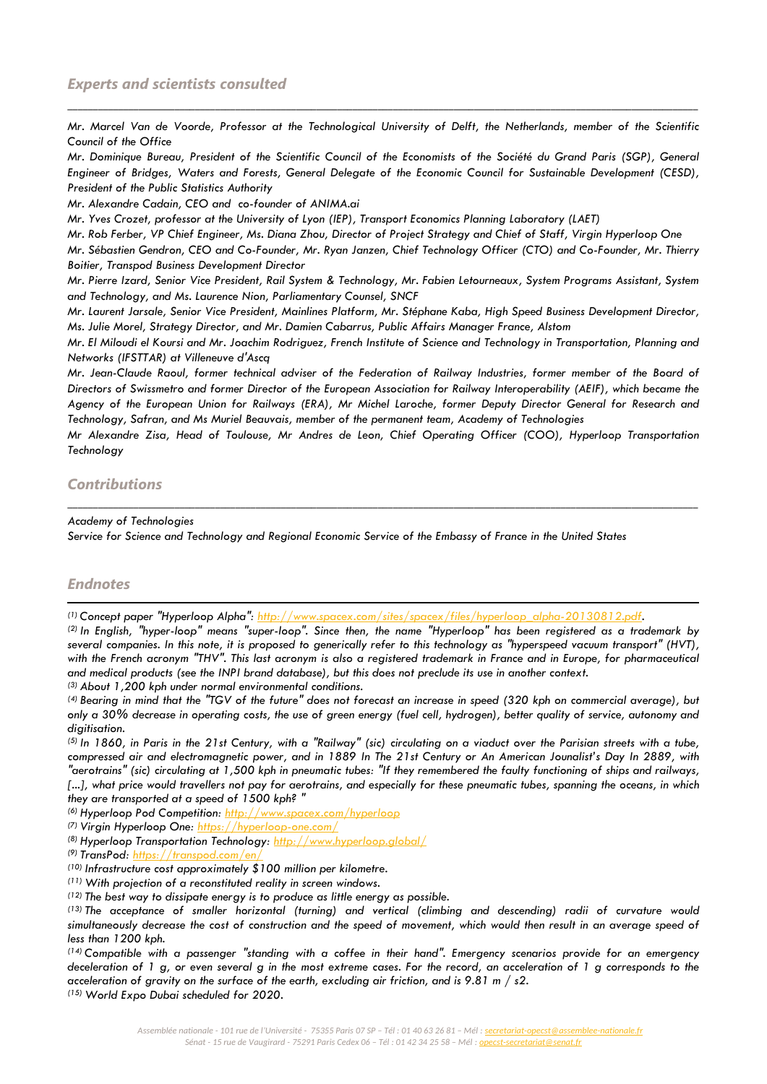*Mr. Marcel Van de Voorde, Professor at the Technological University of Delft, the Netherlands, member of the Scientific Council of the Office*

\_\_\_\_\_\_\_\_\_\_\_\_\_\_\_\_\_\_\_\_\_\_\_\_\_\_\_\_\_\_\_\_\_\_\_\_\_\_\_\_\_\_\_\_\_\_\_\_\_\_\_\_\_\_\_\_\_\_\_\_\_\_\_\_\_\_\_\_\_\_\_\_\_\_\_\_\_\_\_\_\_\_\_\_\_\_\_\_\_\_\_\_\_\_\_\_\_\_\_\_\_\_\_\_\_\_\_\_\_\_\_\_\_\_\_\_\_\_\_\_\_\_\_\_

*Mr. Dominique Bureau, President of the Scientific Council of the Economists of the Société du Grand Paris (SGP), General Engineer of Bridges, Waters and Forests, General Delegate of the Economic Council for Sustainable Development (CESD), President of the Public Statistics Authority*

*Mr. Alexandre Cadain, CEO and co-founder of ANIMA.ai*

*Mr. Yves Crozet, professor at the University of Lyon (IEP), Transport Economics Planning Laboratory (LAET)*

*Mr. Rob Ferber, VP Chief Engineer, Ms. Diana Zhou, Director of Project Strategy and Chief of Staff, Virgin Hyperloop One*

*Mr. Sébastien Gendron, CEO and Co-Founder, Mr. Ryan Janzen, Chief Technology Officer (CTO) and Co-Founder, Mr. Thierry Boitier, Transpod Business Development Director*

*Mr. Pierre Izard, Senior Vice President, Rail System & Technology, Mr. Fabien Letourneaux, System Programs Assistant, System and Technology, and Ms. Laurence Nion, Parliamentary Counsel, SNCF*

*Mr. Laurent Jarsale, Senior Vice President, Mainlines Platform, Mr. Stéphane Kaba, High Speed Business Development Director, Ms. Julie Morel, Strategy Director, and Mr. Damien Cabarrus, Public Affairs Manager France, Alstom*

*Mr. El Miloudi el Koursi and Mr. Joachim Rodriguez, French Institute of Science and Technology in Transportation, Planning and Networks (IFSTTAR) at Villeneuve d'Ascq*

*Mr. Jean-Claude Raoul, former technical adviser of the Federation of Railway Industries, former member of the Board of Directors of Swissmetro and former Director of the European Association for Railway Interoperability (AEIF), which became the Agency of the European Union for Railways (ERA), Mr Michel Laroche, former Deputy Director General for Research and Technology, Safran, and Ms Muriel Beauvais, member of the permanent team, Academy of Technologies*

*Mr Alexandre Zisa, Head of Toulouse, Mr Andres de Leon, Chief Operating Officer (COO), Hyperloop Transportation Technology*

\_\_\_\_\_\_\_\_\_\_\_\_\_\_\_\_\_\_\_\_\_\_\_\_\_\_\_\_\_\_\_\_\_\_\_\_\_\_\_\_\_\_\_\_\_\_\_\_\_\_\_\_\_\_\_\_\_\_\_\_\_\_\_\_\_\_\_\_\_\_\_\_\_\_\_\_\_\_\_\_\_\_\_\_\_\_\_\_\_\_\_\_\_\_\_\_\_\_\_\_\_\_\_\_\_\_\_\_\_\_\_\_\_\_\_\_\_\_\_\_\_\_\_\_

# *Contributions*

#### *Academy of Technologies*

*Service for Science and Technology and Regional Economic Service of the Embassy of France in the United States*

# *Endnotes*

l

<span id="page-4-0"></span>*(1) Concept paper "Hyperloop Alpha": [http://www.spacex.com/sites/spacex/files/hyperloop\\_alpha-20130812.pdf.](http://www.spacex.com/sites/spacex/files/hyperloop_alpha-20130812.pdf)*

<span id="page-4-1"></span>*(2) In English, "hyper-loop" means "super-loop". Since then, the name "Hyperloop" has been registered as a trademark by several companies. In this note, it is proposed to generically refer to this technology as "hyperspeed vacuum transport" (HVT), with the French acronym "THV". This last acronym is also a registered trademark in France and in Europe, for pharmaceutical and medical products (see the INPI brand database), but this does not preclude its use in another context.*

<span id="page-4-2"></span>*(3) About 1,200 kph under normal environmental conditions.*

<span id="page-4-3"></span>*(4) Bearing in mind that the "TGV of the future" does not forecast an increase in speed (320 kph on commercial average), but only a 30% decrease in operating costs, the use of green energy (fuel cell, hydrogen), better quality of service, autonomy and digitisation.*

*(5) In 1860, in Paris in the 21st Century, with a "Railway" (sic) circulating on a viaduct over the Parisian streets with a tube, compressed air and electromagnetic power, and in 1889 In The 21st Century or An American Jounalist's Day In 2889, with "aerotrains" (sic) circulating at 1,500 kph in pneumatic tubes: "If they remembered the faulty functioning of ships and railways, [...], what price would travellers not pay for aerotrains, and especially for these pneumatic tubes, spanning the oceans, in which they are transported at a speed of 1500 kph? "*

*(6) Hyperloop Pod Competition[: http://www.spacex.com/hyperloop](http://www.spacex.com/hyperloop)*

- *(7) Virgin Hyperloop One:<https://hyperloop-one.com/>*
- *(8) Hyperloop Transportation Technology:<http://www.hyperloop.global/>*
- *(9) TransPod:<https://transpod.com/en/>*
- *(10) Infrastructure cost approximately \$100 million per kilometre.*

*(13) The acceptance of smaller horizontal (turning) and vertical (climbing and descending) radii of curvature would*  simultaneously decrease the cost of construction and the speed of movement, which would then result in an average speed of *less than 1200 kph.*

*(14) Compatible with a passenger "standing with a coffee in their hand". Emergency scenarios provide for an emergency deceleration of 1 g, or even several g in the most extreme cases. For the record, an acceleration of 1 g corresponds to the acceleration of gravity on the surface of the earth, excluding air friction, and is 9.81 m / s2.*

*(15) World Expo Dubai scheduled for 2020.*

*<sup>(11)</sup> With projection of a reconstituted reality in screen windows.*

*<sup>(12)</sup> The best way to dissipate energy is to produce as little energy as possible.*